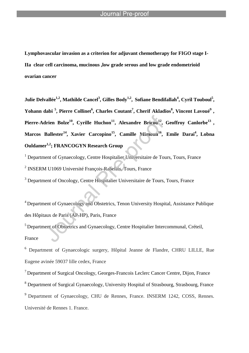**Lymphovascular invasion as a criterion for adjuvant chemotherapy for FIGO stage I-IIa clear cell carcinoma, mucinous ,low grade serous and low grade endometrioid ovarian cancer**

**Julie Delvallée1,2 , Mathilde Cancel<sup>3</sup> , Gilles Body1,2 , Sofiane Bendifallah<sup>4</sup> , Cyril Touboul<sup>5</sup> , Yohann dabi <sup>5</sup> , Pierre Collinet<sup>6</sup> , Charles Coutant<sup>7</sup> , Cherif Akladios<sup>8</sup> , Vincent Lavoué<sup>9</sup> , Pierre-Adrien Bolze<sup>10</sup>, Cyrille Huchon<sup>11</sup> , Alexandre Bricou<sup>12</sup> , Geoffroy Canlorbe<sup>13</sup> , Marcos Ballester<sup>14</sup> , Xavier Carcopino<sup>15</sup> , Camille Mimoun<sup>16</sup> , Emile Darai<sup>4</sup> , Lobna Ouldamer1,2; FRANCOGYN Research Group**

<sup>1</sup> Department of Gynaecology, Centre Hospitalier Universitaire de Tours, Tours, France 2 INSERM U1069 Université François-Rabelais, Tours, France

<sup>3</sup> Department of Oncology, Centre Hospitalier Universitaire de Tours, Tours, France

<sup>4</sup> Department of Gynaecology and Obstetrics, Tenon University Hospital, Assistance Publique des Hôpitaux de Paris (AP-HP), Paris, France

<sup>5</sup> Department of Obstetrics and Gynaecology, Centre Hospitalier Intercommunal, Créteil, France

<sup>6</sup> Department of Gynaecologic surgery, Hôpital Jeanne de Flandre, CHRU LILLE, Rue Eugene avinée 59037 lille cedex, France

<sup>7</sup> Department of Surgical Oncology, Georges-Francois Leclerc Cancer Centre, Dijon, France

<sup>8</sup> Department of Surgical Gynaecology, University Hospital of Strasbourg, Strasbourg, France

<sup>9</sup> Department of Gynaecology, CHU de Rennes, France. INSERM 1242, COSS, Rennes.

Université de Rennes 1. France.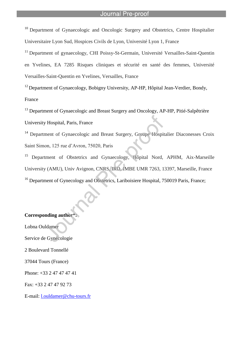<sup>10</sup> Department of Gynaecologic and Oncologic Surgery and Obstetrics, Centre Hospitalier Universitaire Lyon Sud, Hospices Civils de Lyon, Université Lyon 1, France

<sup>11</sup> Department of gynaecology, CHI Poissy-St-Germain, Université Versailles-Saint-Ouentin en Yvelines, EA 7285 Risques cliniques et sécurité en santé des femmes, Université Versailles-Saint-Quentin en Yvelines, Versailles, France

 $12$  Department of Gynaecology, Bobigny University, AP-HP, Hôpital Jean-Verdier, Bondy, France

<sup>13</sup> Department of Gynaecologic and Breast Surgery and Oncology, AP-HP, Pitié-Salpêtrière

University Hospital, Paris, France

<sup>14</sup> Department of Gynaecologic and Breast Surgery, Groupe Hospitalier Diaconesses Croix Saint Simon, 125 rue d'Avron, 75020, Paris

<sup>15</sup> Department of Obstetrics and Gynaecology, Hôpital Nord, APHM, Aix-Marseille University (AMU), Univ Avignon, CNRS, IRD, IMBE UMR 7263, 13397, Marseille, France <sup>16</sup> Department of Gynecology and Obstetrics, Lariboisiere Hospital, 750019 Paris, France;

### **Corresponding author**\***:**

Lobna Ouldamer Service de Gynécologie 2 Boulevard Tonnellé 37044 Tours (France) Phone: +33 2 47 47 47 41 Fax: +33 2 47 47 92 73

E-mail: l.ouldamer@chu-tours.fr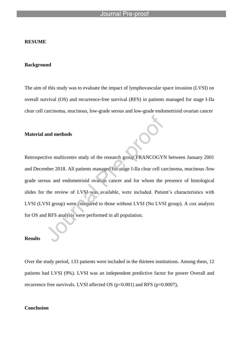#### **RESUME**

### **Background**

The aim of this study was to evaluate the impact of lymphovascular space invasion (LVSI) on overall survival (OS) and recurrence-free survival (RFS) in patients managed for stage I-IIa clear cell carcinoma, mucinous, low-grade serous and low-grade endometrioid ovarian cancer

### **Material and methods**

Retrospective multicentre study of the research group FRANCOGYN between January 2001 and December 2018. All patients managed for stage I-IIa clear cell carcinoma, mucinous /low grade serous and endometrioid ovarian cancer and for whom the presence of histological slides for the review of LVSI was available, were included. Patient's characteristics with LVSI (LVSI group) were compared to those without LVSI (No LVSI group). A cox analysis for OS and RFS analysis were performed in all population.

### **Results**

Over the study period, 133 patients were included in the thirteen institutions. Among them, 12 patients had LVSI (9%). LVSI was an independent predictive factor for poorer Overall and recurrence free survivals. LVSI affected OS (p<0.001) and RFS (p=0.0007),

### **Conclusion**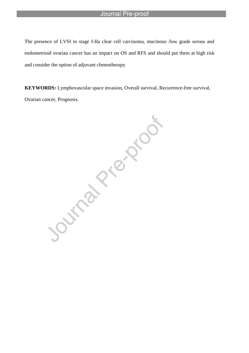The presence of LVSI in stage I-IIa clear cell carcinoma, mucinous /low grade serous and endometrioid ovarian cancer has an impact on OS and RFS and should put them at high risk and consider the option of adjuvant chemotherapy

Ovarian cancer, Prognosis.

**KEYWORDS:** Lymphovascular space invasion, Overall survival, Recurrence-free survival, Ovarian cancer, Prognosis.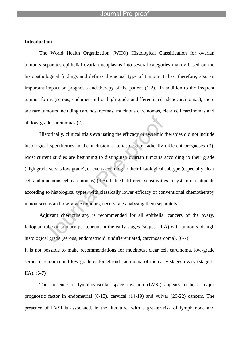### **Introduction**

The World Health Organization (WHO) Histological Classification for ovarian tumours separates epithelial ovarian neoplasms into several categories mainly based on the histopathological findings and defines the actual type of tumour. It has, therefore, also an important impact on prognosis and therapy of the patient (1-2). In addition to the frequent tumour forms (serous, endometrioid or high-grade undifferentiated adenocarcinomas), there are rare tumours including carcinosarcomas, mucinous carcinomas, clear cell carcinomas and all low-grade carcinomas (2).

Historically, clinical trials evaluating the efficacy of systemic therapies did not include histological specificities in the inclusion criteria, despite radically different prognoses (3). Most current studies are beginning to distinguish ovarian tumours according to their grade (high grade versus low grade), or even according to their histological subtype (especially clear cell and mucinous cell carcinomas) (4-5). Indeed, different sensitivities to systemic treatments according to histological types, with classically lower efficacy of conventional chemotherapy in non-serous and low-grade tumours, necessitate analysing them separately.

Adjuvant chemotherapy is recommended for all epithelial cancers of the ovary, fallopian tube or primary peritoneum in the early stages (stages I-IIA) with tumours of high histological grade (serous, endometrioid, undifferentiated, carcinosarcoma). (6-7) It is not possible to make recommendations for mucinous, clear cell carcinoma, low-grade serous carcinoma and low-grade endometrioid carcinoma of the early stages ovary (stage I-IIA). (6-7)

The presence of lymphovascular space invasion (LVSI) appears to be a major prognostic factor in endometrial (8-13), cervical (14-19) and vulvar (20-22) cancers. The presence of LVSI is associated, in the literature, with a greater risk of lymph node and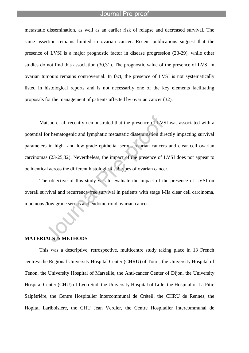metastatic dissemination, as well as an earlier risk of relapse and decreased survival. The same assertion remains limited in ovarian cancer. Recent publications suggest that the presence of LVSI is a major prognostic factor in disease progression (23-29), while other studies do not find this association (30,31). The prognostic value of the presence of LVSI in ovarian tumours remains controversial. In fact, the presence of LVSI is not systematically listed in histological reports and is not necessarily one of the key elements facilitating proposals for the management of patients affected by ovarian cancer (32).

Matsuo et al. recently demonstrated that the presence of LVSI was associated with a potential for hematogenic and lymphatic metastatic dissemination directly impacting survival parameters in high- and low-grade epithelial serous ovarian cancers and clear cell ovarian carcinomas (23-25,32). Nevertheless, the impact of the presence of LVSI does not appear to be identical across the different histological subtypes of ovarian cancer.

The objective of this study was to evaluate the impact of the presence of LVSI on overall survival and recurrence-free survival in patients with stage I-IIa clear cell carcinoma, mucinous /low grade serous and endometrioid ovarian cancer.

### **MATERIALS & METHODS**

This was a descriptive, retrospective, multicentre study taking place in 13 French centres: the Regional University Hospital Center (CHRU) of Tours, the University Hospital of Tenon, the University Hospital of Marseille, the Anti-cancer Center of Dijon, the University Hospital Center (CHU) of Lyon Sud, the University Hospital of Lille, the Hospital of La Pitié Salpêtrière, the Centre Hospitalier Intercommunal de Créteil, the CHRU de Rennes, the Hôpital Lariboisière, the CHU Jean Verdier, the Centre Hospitalier Intercommunal de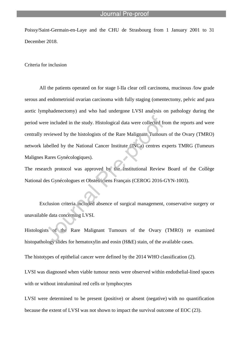Poissy/Saint-Germain-en-Laye and the CHU de Strasbourg from 1 January 2001 to 31 December 2018.

Criteria for inclusion

All the patients operated on for stage I-IIa clear cell carcinoma, mucinous /low grade serous and endometrioid ovarian carcinoma with fully staging (omentectomy, pelvic and para aortic lymphadenectomy) and who had undergone LVSI analysis on pathology during the period were included in the study. Histological data were collected from the reports and were centrally reviewed by the histologists of the Rare Malignant Tumours of the Ovary (TMRO) network labelled by the National Cancer Institute (INCa) centres experts TMRG (Tumeurs Malignes Rares Gynécologiques).

The research protocol was approved by the Institutional Review Board of the Collège National des Gynécologues et Obstétriciens Français (CEROG 2016-GYN-1003).

Exclusion criteria included absence of surgical management, conservative surgery or unavailable data concerning LVSI.

Histologists of the Rare Malignant Tumours of the Ovary (TMRO) re examined histopathology slides for hematoxylin and eosin (H&E) stain, of the available cases.

The histotypes of epithelial cancer were defined by the 2014 WHO classification (2).

LVSI was diagnosed when viable tumour nests were observed within endothelial-lined spaces with or without intraluminal red cells or lymphocytes

LVSI were determined to be present (positive) or absent (negative) with no quantification because the extent of LVSI was not shown to impact the survival outcome of EOC (23).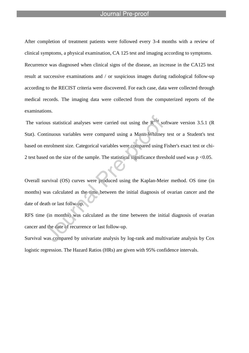After completion of treatment patients were followed every 3-4 months with a review of clinical symptoms, a physical examination, CA 125 test and imaging according to symptoms. Recurrence was diagnosed when clinical signs of the disease, an increase in the CA125 test result at successive examinations and / or suspicious images during radiological follow-up according to the RECIST criteria were discovered. For each case, data were collected through medical records. The imaging data were collected from the computerized reports of the examinations.

The various statistical analyses were carried out using the  $R^{TM}$  software version 3.5.1 (R) Stat). Continuous variables were compared using a Mann-Whitney test or a Student's test based on enrolment size. Categorical variables were compared using Fisher's exact test or chi-2 test based on the size of the sample. The statistical significance threshold used was  $p \le 0.05$ .

Overall survival (OS) curves were produced using the Kaplan-Meier method. OS time (in months) was calculated as the time between the initial diagnosis of ovarian cancer and the date of death or last follw-up.

RFS time (in months) was calculated as the time between the initial diagnosis of ovarian cancer and the date of recurrence or last follow-up.

Survival was compared by univariate analysis by log-rank and multivariate analysis by Cox logistic regression. The Hazard Ratios (HRs) are given with 95% confidence intervals.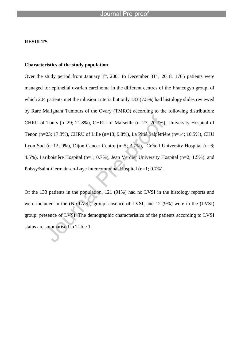### **RESULTS**

### **Characteristics of the study population**

Over the study period from January  $1<sup>st</sup>$ , 2001 to December  $31<sup>th</sup>$ , 2018, 1765 patients were managed for epithelial ovarian carcinoma in the different centres of the Francogyn group, of which 204 patients met the inlusion criteria but only 133 (7.5%) had histology slides reviewed by Rare Malignant Tumours of the Ovary (TMRO) according to the following distribution: CHRU of Tours (n=29; 21.8%), CHRU of Marseille (n=27; 20.3%), University Hospital of Tenon (n=23; 17.3%), CHRU of Lille (n=13; 9.8%), La Pitié Salpêtrière (n=14; 10.5%), CHU Lyon Sud (n=12; 9%), Dijon Cancer Centre (n=5; 3.7%), Créteil University Hospital (n=6; 4.5%), Lariboisière Hospital (n=1; 0.7%), Jean Verdier University Hospital (n=2; 1.5%), and Poissy/Saint-Germain-en-Laye Intercommunal Hospital (n=1; 0.7%).

Of the 133 patients in the population, 121 (91%) had no LVSI in the histology reports and were included in the (No LVSI) group: absence of LVSI, and 12 (9%) were in the (LVSI) group: presence of LVSI. The demographic characteristics of the patients according to LVSI status are summarised in Table 1.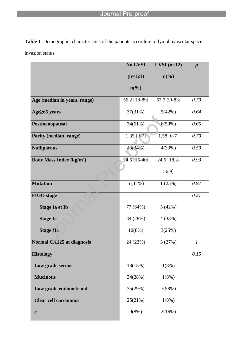**Table 1**: Demographic characteristics of the patients according to lymphovascular space

invasion status

|                                           | No LVSI                     | $LVSI$ (n=12)               | $\boldsymbol{p}$ |
|-------------------------------------------|-----------------------------|-----------------------------|------------------|
|                                           | $(n=121)$                   | $n\left(\frac{6}{6}\right)$ |                  |
|                                           | $n\left(\frac{0}{0}\right)$ |                             |                  |
| Age (median in years, range)              | 56.2 [18-89]                | 57.7[30-83]                 | 0.79             |
| Age≥65 years                              | 37(31%)                     | 5(42%)                      | 0.64             |
| Postmenopausal                            | 74(61%)                     | 6(50%)                      | 0.65             |
| Parity (median, range)                    | $1.35$ [0-7]                | $1.58$ [0-7]                | 0.70             |
| <b>Nulliparous</b>                        | 40(34%)                     | 4(33%)                      | 0.59             |
| <b>Body Mass Index (kg/m<sup>2</sup>)</b> | 24.5 [15-40]                | 24.6 [18.2-                 | 0.93             |
|                                           |                             | 56.9]                       |                  |
| <b>Mutation</b>                           | 5(11%)                      | 1(25%)                      | $0.97\,$         |
| <b>FIGO</b> stage                         |                             |                             | 0.21             |
| <b>Stage Ia et Ib</b>                     | 77 (64%)                    | 5(42%)                      |                  |
| <b>Stage Ic</b>                           | 34 (28%)                    | 4(33%)                      |                  |
| <b>Stage IIa</b>                          | $10(8\%)$                   | 3(25%)                      |                  |
| <b>Normal CA125 at diagnosis</b>          | 24 (23%)                    | 3(27%)                      | $\boldsymbol{l}$ |
| <b>Histology</b>                          |                             |                             | 0.15             |
| Low grade serous                          | 18(15%)                     | 1(8%)                       |                  |
| <b>Mucinous</b>                           | 34(28%)                     | 1(8%)                       |                  |
| Low grade endometrioid                    | 35(29%)                     | 7(58%)                      |                  |
| <b>Clear cell carcinoma</b>               | 25(21%)                     | 1(8%)                       |                  |
| $\mathbf c$                               | 9(8%)                       | 2(16%)                      |                  |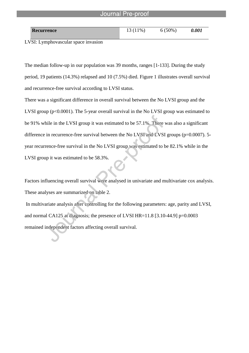| <b>Recurrence</b> | $1\%$ | $(50\%)$ | <i>0.001</i> |
|-------------------|-------|----------|--------------|
|                   |       |          |              |

LVSI: Lymphovascular space invasion

The median follow-up in our population was 39 months, ranges [1-133]. During the study period, 19 patients (14.3%) relapsed and 10 (7.5%) died. Figure 1 illustrates overall survival and recurrence-free survival according to LVSI status.

There was a significant difference in overall survival between the No LVSI group and the LVSI group (p<0.0001). The 5-year overall survival in the No LVSI group was estimated to be 91% while in the LVSI group it was estimated to be 57.1%. There was also a significant difference in recurrence-free survival between the No LVSI and LVSI groups (p=0.0007). 5year recurrence-free survival in the No LVSI group was estimated to be 82.1% while in the LVSI group it was estimated to be 58.3%.

Factors influencing overall survival were analysed in univariate and multivariate cox analysis. These analyses are summarized on table 2. In multivariate analysis after controlling for the following parameters: age, parity and LVSI,

and normal CA125 at diagnosis; the presence of LVSI HR=11.8 [3.10-44.9] p=0.0003

remained independent factors affecting overall survival.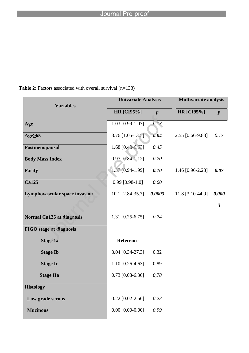| <b>Variables</b>                     | <b>Univariate Analysis</b> |                  | <b>Multivariate analysis</b> |                          |
|--------------------------------------|----------------------------|------------------|------------------------------|--------------------------|
|                                      | <b>HR</b> [CI95%]          | $\boldsymbol{p}$ | <b>HR</b> [CI95%]            | $\boldsymbol{p}$         |
| Age                                  | 1.03 [0.99-1.07]           | 0.13             |                              | $\overline{\phantom{a}}$ |
| Age <sub>265</sub>                   | $3.76$ [1.05-13.5]         | 0.04             | 2.55 [0.66-9.83]             | 0.17                     |
| Postmenopausal                       | 1.68 [0.43-6.53]           | 0.45             |                              |                          |
| <b>Body Mass Index</b>               | $0.97$ [ $0.84-1,12$ ]     | 0.70             |                              |                          |
| <b>Parity</b>                        | $1.37$ [0.94-1.99]         | 0.10             | 1.46 [0.96-2.23]             | 0.07                     |
| <b>Ca125</b>                         | $0.99$ [0.98-1.0]          | 0.60             |                              |                          |
| <b>Lymphovascular space invasion</b> | 10.1 [2.84-35.7]           | 0.0003           | 11.8 [3.10-44.9]             | 0.000                    |
|                                      |                            |                  |                              | $\overline{3}$           |
| <b>Normal Ca125 at diagnosis</b>     | $1.31$ [0.25-6.75]         | 0.74             |                              |                          |
| <b>FIGO</b> stage at diagnosis       |                            |                  |                              |                          |
| <b>Stage Ia</b>                      | Reference                  |                  |                              |                          |
| <b>Stage Ib</b>                      | 3.04 [0.34-27.3]           | 0.32             |                              |                          |
| <b>Stage Ic</b>                      | $1.10$ [0.26-4.63]         | 0.89             |                              |                          |
| <b>Stage IIa</b>                     | $0.73$ [0.08-6.36]         | 0,78             |                              |                          |
| <b>Histology</b>                     |                            |                  |                              |                          |
| Low grade serous                     | $0.22$ [0.02-2.56]         | 0.23             |                              |                          |
| <b>Mucinous</b>                      | $0.00$ [0.00-0.00]         | 0.99             |                              |                          |

# **Table 2:** Factors associated with overall survival (n=133)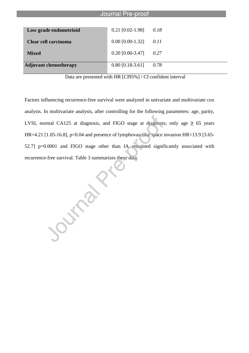| Journal Pre-proof            |                    |      |
|------------------------------|--------------------|------|
| Low grade endometrioid       | $0.21$ [0.02-1.98] | 0.18 |
| Clear cell carcinoma         | $0.00$ [0.00-1.32] | 0.11 |
| <b>Mixed</b>                 | $0.20$ [0.00-3.47] | 0.27 |
| <b>Adjuvant chemotherapy</b> | $0.80$ [0.18-3.61] | 0.78 |

Data are presented with HR [CI95%] / CI confident interval

Factors influencing recurrence-free survival were analyzed in univariate and multivariate cox analysis. In multivariate analysis, after controlling for the following parameters: age, parity, LVSI, normal CA125 at diagnosis, and FIGO stage at diagnosis; only age  $\geq 65$  years HR=4.21 [1.05-16.8], p=0.04 and presence of lymphovascular space invasion HR=13.9 [3.65-52.7] p=0.0001 and FIGO stage other than IA remained significantly associated with recurrence-free survival. Table 3 summarizes these data.

Surface River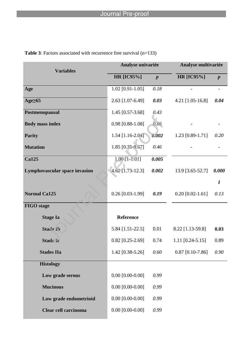| <b>Variables</b>                     | Analyse univariée  |                  | Analyse multivariée |                  |
|--------------------------------------|--------------------|------------------|---------------------|------------------|
|                                      | <b>HR [IC95%]</b>  | $\boldsymbol{p}$ | <b>HR [IC95%]</b>   | $\boldsymbol{p}$ |
| Age                                  | $1.02$ [0.91-1.05] | 0.18             |                     |                  |
| Age <sub>65</sub>                    | 2.63 [1.07-6.49]   | 0.03             | 4.21 [1.05-16.8]    | 0.04             |
| Postmenopausal                       | 1.45 [0.57-3.68]   | 0.43             |                     |                  |
| <b>Body mass index</b>               | $0.98$ [0.88-1.08] | 0.66             |                     |                  |
| <b>Parity</b>                        | 1.54 [1.16-2.04]   | 0.002            | $1.23$ [0.89-1.71]  | 0.20             |
| <b>Mutation</b>                      | 1.85 [0.35-9.67]   | 0.46             |                     |                  |
| <b>Ca125</b>                         | $1.00$ [1-1.01]    | 0.005            |                     |                  |
| <b>Lymphovascular space invasion</b> | $4.62$ [1.73-12.3] | 0.002            | 13.9 [3.65-52.7]    | 0.000            |
|                                      |                    |                  |                     | $\boldsymbol{l}$ |
| <b>Normal Ca125</b>                  | $0.26$ [0.03-1.99] | 0.19             | $0.20$ [0.02-1.61]  | 0.13             |
| <b>FIGO</b> stage                    |                    |                  |                     |                  |
| <b>Stage Ia</b>                      | Reference          |                  |                     |                  |
| <b>Stade Ib</b>                      | 5.84 [1.51-22.5]   | 0.01             | 8.22 [1.13-59.8]    | 0.03             |
| <b>Stade Ic</b>                      | $0.82$ [0.25-2.69] | 0.74             | 1.11 [0.24-5.15]    | 0.89             |
| <b>Stades IIa</b>                    | 1.42 [0.38-5.26]   | 0.60             | $0.87$ [0.10-7.86]  | 0.90             |
| <b>Histology</b>                     |                    |                  |                     |                  |
| Low grade serous                     | $0.00$ [0.00-0.00] | 0.99             |                     |                  |
| <b>Mucinous</b>                      | $0.00$ [0.00-0.00] | 0.99             |                     |                  |
| Low grade endometrioid               | $0.00$ [0.00-0.00] | 0.99             |                     |                  |
| <b>Clear cell carcinoma</b>          | $0.00$ [0.00-0.00] | 0.99             |                     |                  |

**Table 3**: Factors associated with recurrence free survival (n=133)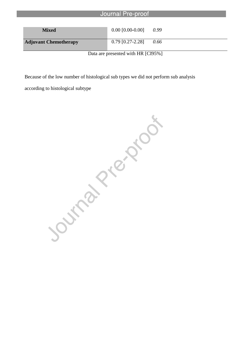| Journal Pre-proof            |                    |      |
|------------------------------|--------------------|------|
| <b>Mixed</b>                 | $0.00$ [0.00-0.00] | 0.99 |
| <b>Adjuvant Chemotherapy</b> | $0.79$ [0.27-2.28] | 0.66 |

Data are presented with HR [CI95%]

according to histological subtype

Because of the low number of histological sub types we did not perform sub analysis<br>according to histological subtype<br>according to  $\frac{1}{2}$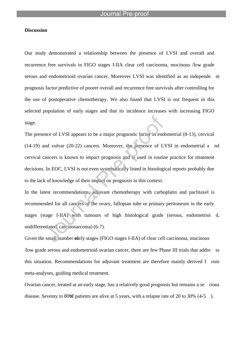### **Discussion**

Our study demonstrated a relationship between the presence of LVSI and overall and recurrence free survivals in FIGO stages I-IIA clear cell carcinoma, mucinous /low grade serous and endometrioid ovarian cancer. Moreover LVSI was identified as an independe nt prognosis factor predictive of poorer overall and recurrence free survivals after controlling for the use of postoperative chemotherapy. We also found that LVSI is not frequent in this selected population of early stages and that its incidence increases with increasing FIGO stage.

The presence of LVSI appears to be a major prognostic factor in endometrial (8-13), cervical (14-19) and vulvar (20-22) cancers. Moreover, the presence of LVSI in endometrial a nd cervical cancers is known to impact prognosis and is used in routine practice for treatment decisions. In EOC, LVSI is not even systematically listed in histological reports probably due to the lack of knowledge of their impact on prognosis in this context.

In the latest recommendations, adjuvant chemotherapy with carboplatin and paclitaxel is recommended for all cancers of the ovary, fallopian tube or primary peritoneum in the early stages (stage I-IIA) with tumours of high histological grade (serous, endometrioi d, undifferentiated, carcinosarcoma) (6-7).

Given the small number of the stages (FIGO stages I-IIA) of clear cell carcinoma, mucinous /low grade serous and endometrioid ovarian cancer, there are few Phase III trials that addre ss this situation. Recommendations for adjuvant treatment are therefore mainly derived f rom meta-analyses, guiding medical treatment.

Ovarian cancer, treated at an early stage, has a relatively good prognosis but remains a se rious disease. Seventy to 80% f patients are alive at 5 years, with a relapse rate of 20 to 30%  $(4-5)$ .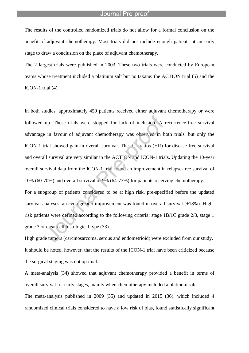The results of the controlled randomized trials do not allow for a formal conclusion on the benefit of adjuvant chemotherapy. Most trials did not include enough patients at an early stage to draw a conclusion on the place of adjuvant chemotherapy.

The 2 largest trials were published in 2003. These two trials were conducted by European teams whose treatment included a platinum salt but no taxane: the ACTION trial (5) and the ICON-1 trial (4).

In both studies, approximately 450 patients received either adjuvant chemotherapy or were followed up. These trials were stopped for lack of inclusion. A recurrence-free survival advantage in favour of adjuvant chemotherapy was observed in both trials, but only the ICON-1 trial showed gain in overall survival. The risk ratios (HR) for disease-free survival and overall survival are very similar in the ACTION and ICON-1 trials. Updating the 10-year overall survival data from the ICON-1 trial found an improvement in relapse-free survival of 10% (60-70%) and overall survival of 9% (64-73%) for patients receiving chemotherapy. For a subgroup of patients considered to be at high risk, pre-specified before the updated survival analyses, an even greater improvement was found in overall survival (+18%). Highrisk patients were defined according to the following criteria: stage 1B/1C grade 2/3, stage 1 grade 3 or clear cell histological type (33).

High grade tumors (carcinosarcoma, serous and endometrioid) were excluded from our study. It should be noted, however, that the results of the ICON-1 trial have been criticized because the surgical staging was not optimal.

A meta-analysis (34) showed that adjuvant chemotherapy provided a benefit in terms of overall survival for early stages, mainly when chemotherapy included a platinum salt.

The meta-analysis published in 2009 (35) and updated in 2015 (36), which included 4 randomized clinical trials considered to have a low risk of bias, found statistically significant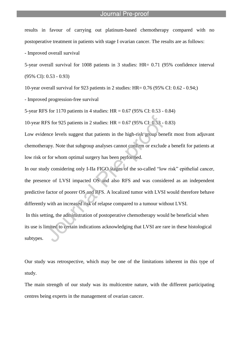results in favour of carrying out platinum-based chemotherapy compared with no postoperative treatment in patients with stage I ovarian cancer. The results are as follows:

- Improved overall survival

5-year overall survival for 1008 patients in 3 studies: HR= 0.71 (95% confidence interval (95% CI): 0.53 - 0.93)

10-year overall survival for 923 patients in 2 studies: HR= 0.76 (95% CI: 0.62 - 0.94;)

- Improved progression-free survival

5-year RFS for 1170 patients in 4 studies: HR = 0.67 (95% CI: 0.53 - 0.84)

10-year RFS for 925 patients in 2 studies: HR = 0.67 (95% CI: 0.53 - 0.83)

Low evidence levels suggest that patients in the high-risk group benefit most from adjuvant chemotherapy. Note that subgroup analyses cannot confirm or exclude a benefit for patients at low risk or for whom optimal surgery has been performed.

In our study considering only I-IIa FIGO stages of the so-called "low risk" epithelial cancer, the presence of LVSI impacted OS and also RFS and was considered as an independent predictive factor of poorer OS and RFS. A localized tumor with LVSI would therefore behave differently with an increased risk of relapse compared to a tumour without LVSI. In this setting, the administration of postoperative chemotherapy would be beneficial when its use is limited to certain indications acknowledging that LVSI are rare in these histological subtypes.

Our study was retrospective, which may be one of the limitations inherent in this type of study.

The main strength of our study was its multicentre nature, with the different participating centres being experts in the management of ovarian cancer.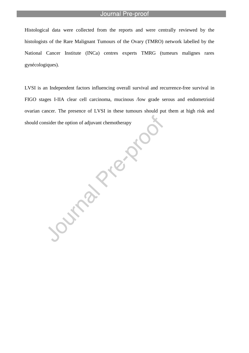Histological data were collected from the reports and were centrally reviewed by the histologists of the Rare Malignant Tumours of the Ovary (TMRO) network labelled by the National Cancer Institute (INCa) centres experts TMRG (tumeurs malignes rares gynécologiques).

LVSI is an Independent factors influencing overall survival and recurrence-free survival in FIGO stages I-IIA clear cell carcinoma, mucinous /low grade serous and endometrioid ovarian cancer. The presence of LVSI in these tumours should put them at high risk and should consider the option of adjuvant chemotherapy

Journal President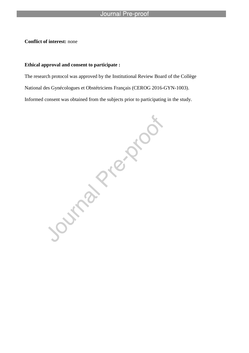**Conflict of interest:** none

### **Ethical approval and consent to participate :**

The research protocol was approved by the Institutional Review Board of the Collège Informed consent was obtained from the subjects prior to participating in the study.

National des Gynécologues et Obstétriciens Français (CEROG 2016-GYN-1003).<br>Informed consent was obtained from the subjects prior to participating in the sudy<br>Informed consent was obtained from the subjects prior to partici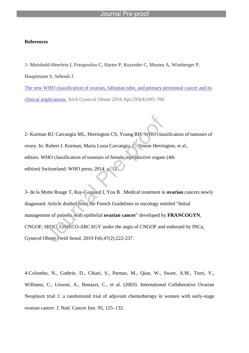### **References**

1- Meinhold-Heerlein I, Fotopoulou C, Harter P, Kurzeder C, Mustea A, Wimberger P, Hauptmann S, Sehouli J. The new WHO classification of ovarian, fallopian tube, and primary peritoneal cancer and its clinical implications. Arch Gynecol Obstet 2016 Apr;293(4):695-700.

2- Kurman RJ, Carcangiu ML, Herrington CS, Young RH. WHO classification of tumours of ovary. In: Robert J. Kurman, Maria Lusia Carcangiu, C. Simon Herrington, et al., editors. WHO classification of tumours of female reproductive organs (4th edition) Switzerland: WHO press; 2014. p. 12

3- de la Motte Rouge T, Ray-Coquard I, You B. .Medical treatment in **ovarian** cancers newly diagnosed: Article drafted from the French Guidelines in oncology entitled "Initial management of patients with epithelial **ovarian cancer**" developed by **FRANCOGYN**, CNGOF, SFOG, GINECO-ARCAGY under the aegis of CNGOF and endorsed by INCa. Gynecol Obstet Fertil Senol. 2019 Feb;47(2):222-237.

4-Colombo, N., Guthrie, D., Chiari, S., Parmar, M., Qian, W., Swart, A.M., Torri, V., Williams, C., Lissoni, A., Bonazzi, C., et al. (2003). International Collaborative Ovarian Neoplasm trial 1: a randomized trial of adjuvant chemotherapy in women with early-stage ovarian cancer. J. Natl. Cancer Inst. *95*, 125–132.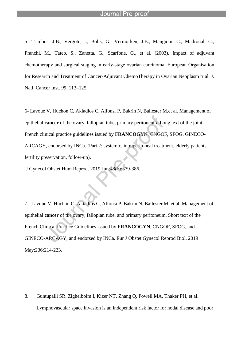5- Trimbos, J.B., Vergote, I., Bolis, G., Vermorken, J.B., Mangioni, C., Madronal, C., Franchi, M., Tateo, S., Zanetta, G., Scarfone, G., et al. (2003). Impact of adjuvant chemotherapy and surgical staging in early-stage ovarian carcinoma: European Organisation for Research and Treatment of Cancer-Adjuvant ChemoTherapy in Ovarian Neoplasm trial. J. Natl. Cancer Inst. *95*, 113–125.

6- Lavoue V, Huchon C, Akladios C, Alfonsi P, Bakrin N, Ballester M,et al. Management of epithelial **cancer** of the ovary, fallopian tube, primary peritoneum. Long text of the joint French clinical practice guidelines issued by **FRANCOGYN**, CNGOF, SFOG, GINECO-ARCAGY, endorsed by INCa. (Part 2: systemic, intraperitoneal treatment, elderly patients, fertility preservation, follow-up).

.J Gynecol Obstet Hum Reprod. 2019 Jun;48(6):379-386.

7- Lavoue V, Huchon C, Akladios C, Alfonsi P, Bakrin N, Ballester M, et al. Management of epithelial **cancer** of the ovary, fallopian tube, and primary peritoneum. Short text of the French Clinical Practice Guidelines issued by **FRANCOGYN**, CNGOF, SFOG, and GINECO-ARCAGY, and endorsed by INCa. Eur J Obstet Gynecol Reprod Biol. 2019 May;236:214-223.

8. Guntupalli SR, Zighelboim I, Kizer NT, Zhang Q, Powell MA, Thaker PH, et al. Lymphovascular space invasion is an independent risk factor for nodal disease and poor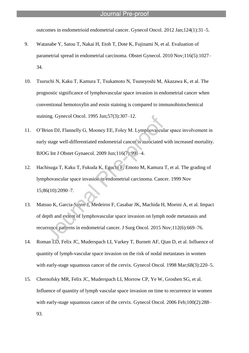outcomes in endometrioid endometrial cancer. Gynecol Oncol. 2012 Jan;124(1):31–5.

- 9. Watanabe Y, Satou T, Nakai H, Etoh T, Dote K, Fujinami N, et al. Evaluation of parametrial spread in endometrial carcinoma. Obstet Gynecol. 2010 Nov;116(5):1027– 34.
- 10. Tsuruchi N, Kaku T, Kamura T, Tsukamoto N, Tsuneyoshi M, Akazawa K, et al. The prognostic significance of lymphovascular space invasion in endometrial cancer when conventional hemotoxylin and eosin staining is compared to immunohistochemical staining. Gynecol Oncol. 1995 Jun;57(3):307–12.
- 11. O'Brien DJ, Flannelly G, Mooney EE, Foley M. Lymphovascular space involvement in early stage well-differentiated endometrial cancer is associated with increased mortality. BJOG Int J Obstet Gynaecol. 2009 Jun;116(7):991–4.
- 12. Hachisuga T, Kaku T, Fukuda K, Eguchi F, Emoto M, Kamura T, et al. The grading of lymphovascular space invasion in endometrial carcinoma. Cancer. 1999 Nov 15;86(10):2090–7.
- 13. Matsuo K, Garcia-Sayre J, Medeiros F, Casabar JK, Machida H, Moeini A, et al. Impact of depth and extent of lymphovascular space invasion on lymph node metastasis and recurrence patterns in endometrial cancer. J Surg Oncol. 2015 Nov;112(6):669–76.
- 14. Roman LD, Felix JC, Muderspach LI, Varkey T, Burnett AF, Qian D, et al. Influence of quantity of lymph-vascular space invasion on the risk of nodal metastases in women with early-stage squamous cancer of the cervix. Gynecol Oncol. 1998 Mar; 68(3): 220–5.
- 15. Chernofsky MR, Felix JC, Muderspach LI, Morrow CP, Ye W, Groshen SG, et al. Influence of quantity of lymph vascular space invasion on time to recurrence in women with early-stage squamous cancer of the cervix. Gynecol Oncol. 2006 Feb;100(2):288– 93.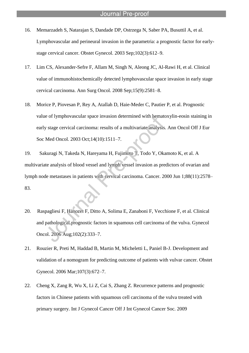- 16. Memarzadeh S, Natarajan S, Dandade DP, Ostrzega N, Saber PA, Busuttil A, et al. Lymphovascular and perineural invasion in the parametria: a prognostic factor for earlystage cervical cancer. Obstet Gynecol. 2003 Sep;102(3):612–9.
- 17. Lim CS, Alexander-Sefre F, Allam M, Singh N, Aleong JC, Al-Rawi H, et al. Clinical value of immunohistochemically detected lymphovascular space invasion in early stage cervical carcinoma. Ann Surg Oncol. 2008 Sep;15(9):2581–8.
- 18. Morice P, Piovesan P, Rey A, Atallah D, Haie-Meder C, Pautier P, et al. Prognostic value of lymphovascular space invasion determined with hematoxylin-eosin staining in early stage cervical carcinoma: results of a multivariate analysis. Ann Oncol Off J Eur Soc Med Oncol. 2003 Oct;14(10):1511–7.

19. Sakuragi N, Takeda N, Hareyama H, Fujimoto T, Todo Y, Okamoto K, et al. A multivariate analysis of blood vessel and lymph vessel invasion as predictors of ovarian and lymph node metastases in patients with cervical carcinoma. Cancer. 2000 Jun 1;88(11):2578– 83.

- 20. Raspagliesi F, Hanozet F, Ditto A, Solima E, Zanaboni F, Vecchione F, et al. Clinical and pathological prognostic factors in squamous cell carcinoma of the vulva. Gynecol Oncol. 2006 Aug;102(2):333–7.
- 21. Rouzier R, Preti M, Haddad B, Martin M, Micheletti L, Paniel B-J. Development and validation of a nomogram for predicting outcome of patients with vulvar cancer. Obstet Gynecol. 2006 Mar;107(3):672–7.
- 22. Cheng X, Zang R, Wu X, Li Z, Cai S, Zhang Z. Recurrence patterns and prognostic factors in Chinese patients with squamous cell carcinoma of the vulva treated with primary surgery. Int J Gynecol Cancer Off J Int Gynecol Cancer Soc. 2009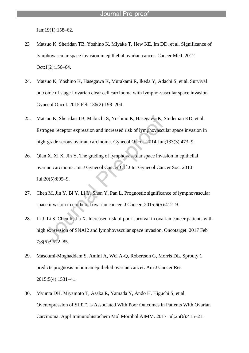Jan;19(1):158–62.

- 23 Matsuo K, Sheridan TB, Yoshino K, Miyake T, Hew KE, Im DD, et al. Significance of lymphovascular space invasion in epithelial ovarian cancer. Cancer Med. 2012 Oct;1(2):156–64.
- 24. Matsuo K, Yoshino K, Hasegawa K, Murakami R, Ikeda Y, Adachi S, et al. Survival outcome of stage I ovarian clear cell carcinoma with lympho-vascular space invasion. Gynecol Oncol. 2015 Feb;136(2):198–204.
- 25. Matsuo K, Sheridan TB, Mabuchi S, Yoshino K, Hasegawa K, Studeman KD, et al. Estrogen receptor expression and increased risk of lymphovascular space invasion in high-grade serous ovarian carcinoma. Gynecol Oncol. 2014 Jun;133(3):473–9.
- 26. Qian X, Xi X, Jin Y. The grading of lymphovascular space invasion in epithelial ovarian carcinoma. Int J Gynecol Cancer Off J Int Gynecol Cancer Soc. 2010 Jul;20(5):895–9.
- 27. Chen M, Jin Y, Bi Y, Li Y, Shan Y, Pan L. Prognostic significance of lymphovascular space invasion in epithelial ovarian cancer. J Cancer. 2015;6(5):412–9.
- 28. Li J, Li S, Chen R, Lu X. Increased risk of poor survival in ovarian cancer patients with high expression of SNAI2 and lymphovascular space invasion. Oncotarget. 2017 Feb 7;8(6):9672–85.
- 29. Masoumi-Moghaddam S, Amini A, Wei A-Q, Robertson G, Morris DL. Sprouty 1 predicts prognosis in human epithelial ovarian cancer. Am J Cancer Res. 2015;5(4):1531–41.
- 30. Mvunta DH, Miyamoto T, Asaka R, Yamada Y, Ando H, Higuchi S, et al. Overexpression of SIRT1 is Associated With Poor Outcomes in Patients With Ovarian Carcinoma. Appl Immunohistochem Mol Morphol AIMM. 2017 Jul;25(6):415–21.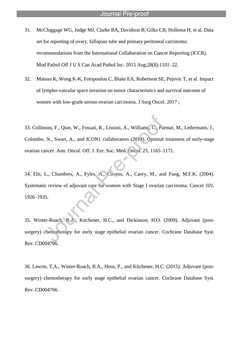- 31. McCluggage WG, Judge MJ, Clarke BA, Davidson B, Gilks CB, Hollema H, et al. Data set for reporting of ovary, fallopian tube and primary peritoneal carcinoma: recommendations from the International Collaboration on Cancer Reporting (ICCR). Mod Pathol Off J U S Can Acad Pathol Inc. 2015 Aug;28(8):1101–22.
- 32. Matsuo K, Wong K-K, Fotopoulou C, Blake EA, Robertson SE, Pejovic T, et al. Impact of lympho-vascular space invasion on tumor characteristics and survival outcome of women with low-grade serous ovarian carcinoma. J Surg Oncol. 2017 ;

33. Collinson, F., Qian, W., Fossati, R., Lissoni, A., Williams, C., Parmar, M., Ledermann, J., Colombo, N., Swart, A., and ICON1 collaborators (2014). Optimal treatment of early-stage ovarian cancer. Ann. Oncol. Off. J. Eur. Soc. Med. Oncol. *25*, 1165–1171.

34. Elit, L., Chambers, A., Fyles, A., Covens, A., Carey, M., and Fung, M.F.K. (2004). Systematic review of adjuvant care for women with Stage I ovarian carcinoma. Cancer *101*, 1926–1935.

35. Winter-Roach, B.A., Kitchener, H.C., and Dickinson, H.O. (2009). Adjuvant (postsurgery) chemotherapy for early stage epithelial ovarian cancer. Cochrane Database Syst. Rev. CD004706.

36. Lawrie, T.A., Winter-Roach, B.A., Heus, P., and Kitchener, H.C. (2015). Adjuvant (postsurgery) chemotherapy for early stage epithelial ovarian cancer. Cochrane Database Syst. Rev. CD004706.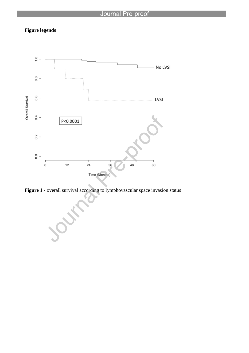## **Figure legends**



Figure 1 - overall survival according to lymphovascular space invasion status